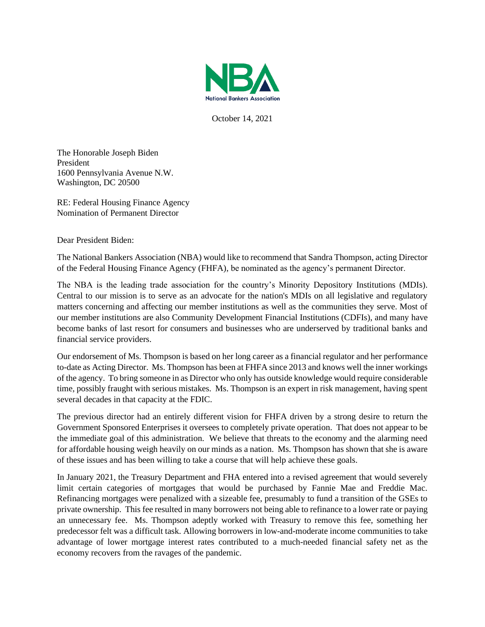

October 14, 2021

The Honorable Joseph Biden President 1600 Pennsylvania Avenue N.W. Washington, DC 20500

RE: Federal Housing Finance Agency Nomination of Permanent Director

Dear President Biden:

The National Bankers Association (NBA) would like to recommend that Sandra Thompson, acting Director of the Federal Housing Finance Agency (FHFA), be nominated as the agency's permanent Director.

The NBA is the leading trade association for the country's Minority Depository Institutions (MDIs). Central to our mission is to serve as an advocate for the nation's MDIs on all legislative and regulatory matters concerning and affecting our member institutions as well as the communities they serve. Most of our member institutions are also Community Development Financial Institutions (CDFIs), and many have become banks of last resort for consumers and businesses who are underserved by traditional banks and financial service providers.

Our endorsement of Ms. Thompson is based on her long career as a financial regulator and her performance to-date as Acting Director. Ms. Thompson has been at FHFA since 2013 and knows well the inner workings of the agency. To bring someone in as Director who only has outside knowledge would require considerable time, possibly fraught with serious mistakes. Ms. Thompson is an expert in risk management, having spent several decades in that capacity at the FDIC.

The previous director had an entirely different vision for FHFA driven by a strong desire to return the Government Sponsored Enterprises it oversees to completely private operation. That does not appear to be the immediate goal of this administration. We believe that threats to the economy and the alarming need for affordable housing weigh heavily on our minds as a nation. Ms. Thompson has shown that she is aware of these issues and has been willing to take a course that will help achieve these goals.

In January 2021, the Treasury Department and FHA entered into a revised agreement that would severely limit certain categories of mortgages that would be purchased by Fannie Mae and Freddie Mac. Refinancing mortgages were penalized with a sizeable fee, presumably to fund a transition of the GSEs to private ownership. This fee resulted in many borrowers not being able to refinance to a lower rate or paying an unnecessary fee. Ms. Thompson adeptly worked with Treasury to remove this fee, something her predecessor felt was a difficult task. Allowing borrowers in low-and-moderate income communities to take advantage of lower mortgage interest rates contributed to a much-needed financial safety net as the economy recovers from the ravages of the pandemic.